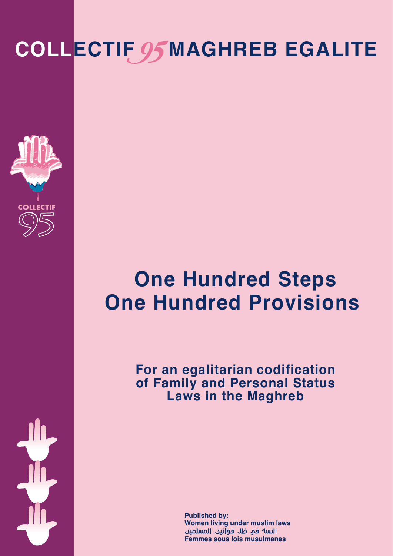# **COLLECTIF OSMAGHREB EGALITE**



## **One Hundred Steps One Hundred Provisions**

**For an egalitarian codification of Family and Personal Status Laws in the Maghreb**

> **Women living under muslim laws Published by: Femmes sous lois musulmanes**

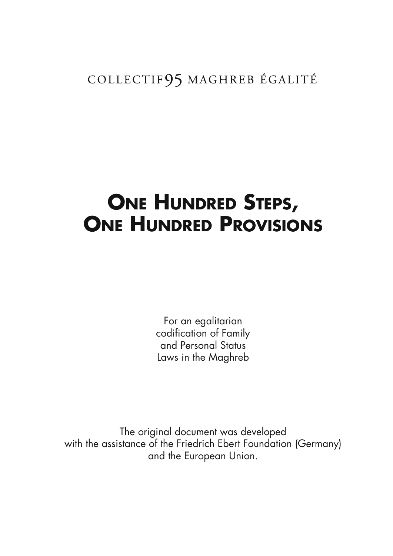#### COLLECTIF95 MAGHREB ÉGALITÉ

## **ONE HUNDRED STEPS, ONE HUNDRED PROVISIONS**

For an egalitarian codification of Family and Personal Status Laws in the Maghreb

The original document was developed with the assistance of the Friedrich Ebert Foundation (Germany) and the European Union.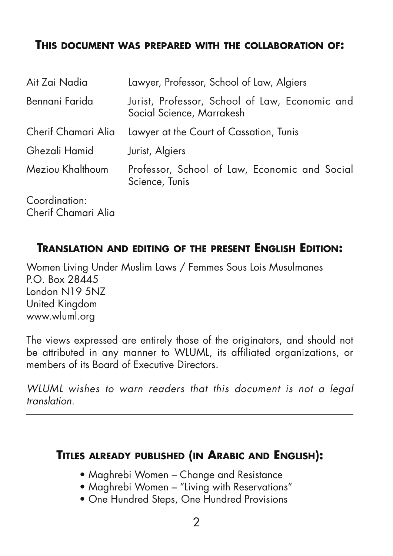#### **THIS DOCUMENT WAS PREPARED WITH THE COLLABORATION OF:**

| Ait Zai Nadia                        | Lawyer, Professor, School of Law, Algiers                                   |
|--------------------------------------|-----------------------------------------------------------------------------|
| Bennani Farida                       | Jurist, Professor, School of Law, Economic and<br>Social Science, Marrakesh |
| Cherif Chamari Alia                  | Lawyer at the Court of Cassation, Tunis                                     |
| Ghezali Hamid                        | Jurist, Algiers                                                             |
| Meziou Khalthoum                     | Professor, School of Law, Economic and Social<br>Science, Tunis             |
| Coordination:<br>Cherif Chamari Alia |                                                                             |

#### **TRANSLATION AND EDITING OF THE PRESENT ENGLISH EDITION:**

Women Living Under Muslim Laws / Femmes Sous Lois Musulmanes P.O. Box 28445 London N19 5NZ United Kingdom www.wluml.org

The views expressed are entirely those of the originators, and should not be attributed in any manner to WLUML, its affiliated organizations, or members of its Board of Executive Directors.

WLUML wishes to warn readers that this document is not a legal translation.

#### **TITLES ALREADY PUBLISHED (IN ARABIC AND ENGLISH):**

- Maghrebi Women Change and Resistance
- Maghrebi Women "Living with Reservations"
- One Hundred Steps, One Hundred Provisions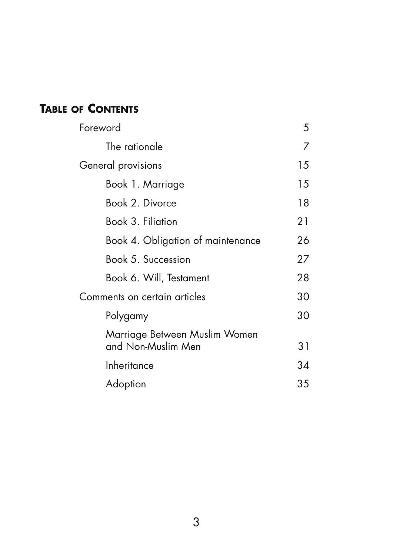### **TABLE OF CONTENTS**

| Foreword                          |    |
|-----------------------------------|----|
| The rationale                     |    |
| General provisions                |    |
| Book 1. Marriage                  | 15 |
| Book 2. Divorce                   |    |
| Book 3. Filiation                 | 21 |
| Book 4. Obligation of maintenance | 26 |
| Book 5. Succession                | 27 |
| Book 6. Will, Testament           | 28 |
| Comments on certain articles      |    |
| Polygamy                          | 30 |
| Marriage Between Muslim Women     |    |
| and Non-Muslim Men                |    |
| Inheritance                       |    |
| Adoption                          |    |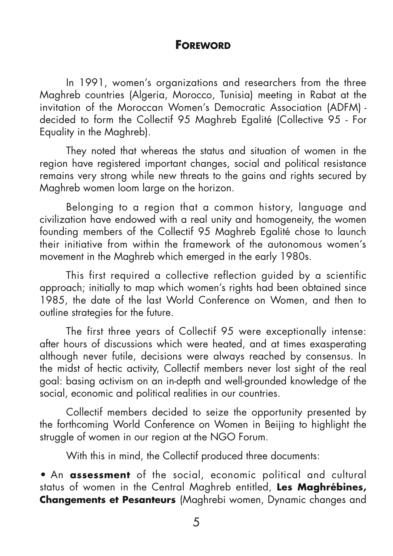#### **FOREWORD**

In 1991, women's organizations and researchers from the three Maghreb countries (Algeria, Morocco, Tunisia) meeting in Rabat at the invitation of the Moroccan Women's Democratic Association (ADFM) decided to form the Collectif 95 Maghreb Egalité (Collective 95 - For Equality in the Maghreb).

They noted that whereas the status and situation of women in the region have registered important changes, social and political resistance remains very strong while new threats to the gains and rights secured by Maghreb women loom large on the horizon.

Belonging to a region that a common history, language and civilization have endowed with a real unity and homogeneity, the women founding members of the Collectif 95 Maghreb Egalité chose to launch their initiative from within the framework of the autonomous women's movement in the Maghreb which emerged in the early 1980s.

This first required a collective reflection guided by a scientific approach; initially to map which women's rights had been obtained since 1985, the date of the last World Conference on Women, and then to outline strategies for the future.

The first three years of Collectif 95 were exceptionally intense: after hours of discussions which were heated, and at times exasperating although never futile, decisions were always reached by consensus. In the midst of hectic activity, Collectif members never lost sight of the real goal: basing activism on an in-depth and well-grounded knowledge of the social, economic and political realities in our countries.

Collectif members decided to seize the opportunity presented by the forthcoming World Conference on Women in Beijing to highlight the struggle of women in our region at the NGO Forum.

With this in mind, the Collectif produced three documents:

**•** An **assessment** of the social, economic political and cultural status of women in the Central Maghreb entitled, **Les Maghrébines, Changements et Pesanteurs** (Maghrebi women, Dynamic changes and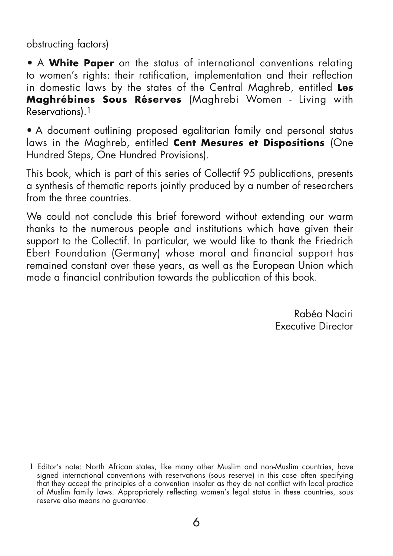obstructing factors)

**•** A **White Paper** on the status of international conventions relating to women's rights: their ratification, implementation and their reflection in domestic laws by the states of the Central Maghreb, entitled **Les Maghrébines Sous Réserves** (Maghrebi Women - Living with Reservations).1

• A document outlining proposed egalitarian family and personal status laws in the Maghreb, entitled **Cent Mesures et Dispositions** (One Hundred Steps, One Hundred Provisions).

This book, which is part of this series of Collectif 95 publications, presents a synthesis of thematic reports jointly produced by a number of researchers from the three countries.

We could not conclude this brief foreword without extending our warm thanks to the numerous people and institutions which have given their support to the Collectif. In particular, we would like to thank the Friedrich Ebert Foundation (Germany) whose moral and financial support has remained constant over these years, as well as the European Union which made a financial contribution towards the publication of this book.

> Rabéa Naciri Executive Director

<sup>1</sup> Editor's note: North African states, like many other Muslim and non-Muslim countries, have signed international conventions with reservations (sous reserve) in this case often specifying that they accept the principles of a convention insofar as they do not conflict with local practice of Muslim family laws. Appropriately reflecting women's legal status in these countries, sous reserve also means no guarantee.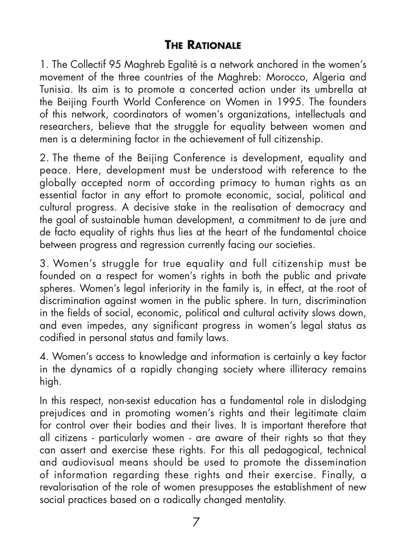#### **THE RATIONALE**

1. The Collectif 95 Maghreb Egalité is a network anchored in the women's movement of the three countries of the Maghreb: Morocco, Algeria and Tunisia. Its aim is to promote a concerted action under its umbrella at the Beijing Fourth World Conference on Women in 1995. The founders of this network, coordinators of women's organizations, intellectuals and researchers, believe that the struggle for equality between women and men is a determining factor in the achievement of full citizenship.

2. The theme of the Beijing Conference is development, equality and peace. Here, development must be understood with reference to the globally accepted norm of according primacy to human rights as an essential factor in any effort to promote economic, social, political and cultural progress. A decisive stake in the realisation of democracy and the goal of sustainable human development, a commitment to de jure and de facto equality of rights thus lies at the heart of the fundamental choice between progress and regression currently facing our societies.

3. Women's struggle for true equality and full citizenship must be founded on a respect for women's rights in both the public and private spheres. Women's legal inferiority in the family is, in effect, at the root of discrimination against women in the public sphere. In turn, discrimination in the fields of social, economic, political and cultural activity slows down, and even impedes, any significant progress in women's legal status as codified in personal status and family laws.

4. Women's access to knowledge and information is certainly a key factor in the dynamics of a rapidly changing society where illiteracy remains high.

In this respect, non-sexist education has a fundamental role in dislodging prejudices and in promoting women's rights and their legitimate claim for control over their bodies and their lives. It is important therefore that all citizens - particularly women - are aware of their rights so that they can assert and exercise these rights. For this all pedagogical, technical and audiovisual means should be used to promote the dissemination of information regarding these rights and their exercise. Finally, a revalorisation of the role of women presupposes the establishment of new social practices based on a radically changed mentality.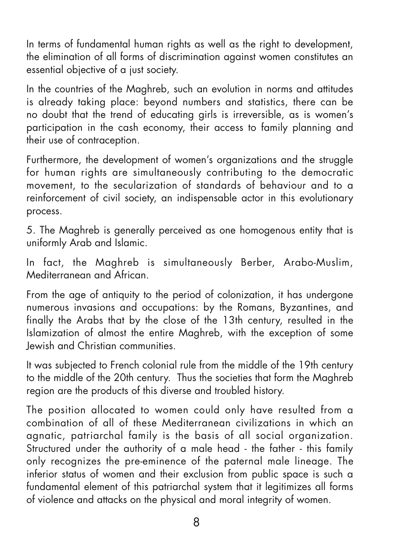In terms of fundamental human rights as well as the right to development, the elimination of all forms of discrimination against women constitutes an essential objective of a just society.

In the countries of the Maghreb, such an evolution in norms and attitudes is already taking place: beyond numbers and statistics, there can be no doubt that the trend of educating girls is irreversible, as is women's participation in the cash economy, their access to family planning and their use of contraception.

Furthermore, the development of women's organizations and the struggle for human rights are simultaneously contributing to the democratic movement, to the secularization of standards of behaviour and to a reinforcement of civil society, an indispensable actor in this evolutionary process.

5. The Maghreb is generally perceived as one homogenous entity that is uniformly Arab and Islamic.

In fact, the Maghreb is simultaneously Berber, Arabo-Muslim, Mediterranean and African.

From the age of antiquity to the period of colonization, it has undergone numerous invasions and occupations: by the Romans, Byzantines, and finally the Arabs that by the close of the 13th century, resulted in the Islamization of almost the entire Maghreb, with the exception of some Jewish and Christian communities.

It was subjected to French colonial rule from the middle of the 19th century to the middle of the 20th century. Thus the societies that form the Maghreb region are the products of this diverse and troubled history.

The position allocated to women could only have resulted from a combination of all of these Mediterranean civilizations in which an agnatic, patriarchal family is the basis of all social organization. Structured under the authority of a male head - the father - this family only recognizes the pre-eminence of the paternal male lineage. The inferior status of women and their exclusion from public space is such a fundamental element of this patriarchal system that it legitimizes all forms of violence and attacks on the physical and moral integrity of women.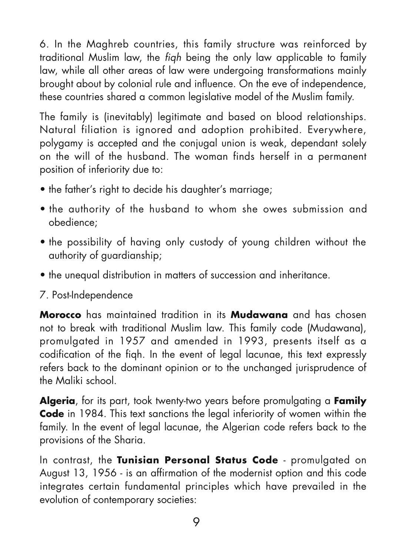6. In the Maghreb countries, this family structure was reinforced by traditional Muslim law, the fiqh being the only law applicable to family law, while all other areas of law were undergoing transformations mainly brought about by colonial rule and influence. On the eve of independence, these countries shared a common legislative model of the Muslim family.

The family is (inevitably) legitimate and based on blood relationships. Natural filiation is ignored and adoption prohibited. Everywhere, polygamy is accepted and the conjugal union is weak, dependant solely on the will of the husband. The woman finds herself in a permanent position of inferiority due to:

- the father's right to decide his daughter's marriage;
- the authority of the husband to whom she owes submission and obedience;
- the possibility of having only custody of young children without the authority of guardianship;
- the unequal distribution in matters of succession and inheritance.

#### 7. Post-Independence

**Morocco** has maintained tradition in its **Mudawana** and has chosen not to break with traditional Muslim law. This family code (Mudawana), promulgated in 1957 and amended in 1993, presents itself as a codification of the fiqh. In the event of legal lacunae, this text expressly refers back to the dominant opinion or to the unchanged jurisprudence of the Maliki school.

**Algeria**, for its part, took twenty-two years before promulgating a **Family Code** in 1984. This text sanctions the legal inferiority of women within the family. In the event of legal lacunae, the Algerian code refers back to the provisions of the Sharia.

In contrast, the **Tunisian Personal Status Code** - promulgated on August 13, 1956 - is an affirmation of the modernist option and this code integrates certain fundamental principles which have prevailed in the evolution of contemporary societies: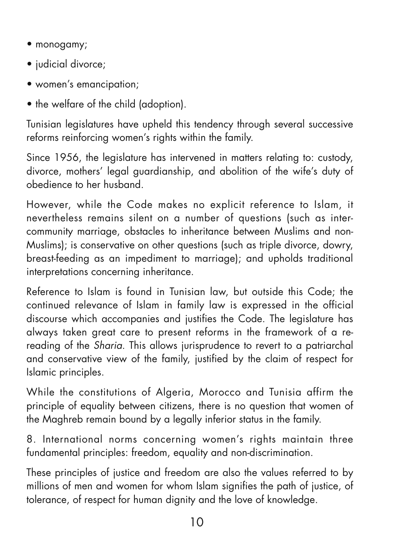- monogamy;
- judicial divorce;
- women's emancipation;
- the welfare of the child (adoption).

Tunisian legislatures have upheld this tendency through several successive reforms reinforcing women's rights within the family.

Since 1956, the legislature has intervened in matters relating to: custody, divorce, mothers' legal guardianship, and abolition of the wife's duty of obedience to her husband.

However, while the Code makes no explicit reference to Islam, it nevertheless remains silent on a number of questions (such as intercommunity marriage, obstacles to inheritance between Muslims and non-Muslims); is conservative on other questions (such as triple divorce, dowry, breast-feeding as an impediment to marriage); and upholds traditional interpretations concerning inheritance.

Reference to Islam is found in Tunisian law, but outside this Code; the continued relevance of Islam in family law is expressed in the official discourse which accompanies and justifies the Code. The legislature has always taken great care to present reforms in the framework of a rereading of the Sharia. This allows jurisprudence to revert to a patriarchal and conservative view of the family, justified by the claim of respect for Islamic principles.

While the constitutions of Algeria, Morocco and Tunisia affirm the principle of equality between citizens, there is no question that women of the Maghreb remain bound by a legally inferior status in the family.

8. International norms concerning women's rights maintain three fundamental principles: freedom, equality and non-discrimination.

These principles of justice and freedom are also the values referred to by millions of men and women for whom Islam signifies the path of justice, of tolerance, of respect for human dignity and the love of knowledge.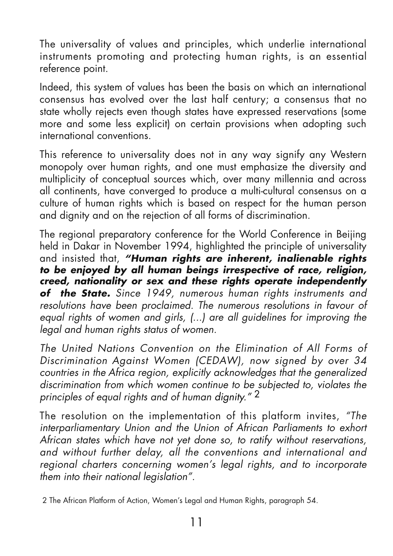The universality of values and principles, which underlie international instruments promoting and protecting human rights, is an essential reference point.

Indeed, this system of values has been the basis on which an international consensus has evolved over the last half century; a consensus that no state wholly rejects even though states have expressed reservations (some more and some less explicit) on certain provisions when adopting such international conventions.

This reference to universality does not in any way signify any Western monopoly over human rights, and one must emphasize the diversity and multiplicity of conceptual sources which, over many millennia and across all continents, have converged to produce a multi-cultural consensus on a culture of human rights which is based on respect for the human person and dignity and on the rejection of all forms of discrimination.

The regional preparatory conference for the World Conference in Beijing held in Dakar in November 1994, highlighted the principle of universality and insisted that, **"Human rights are inherent, inalienable rights to be enjoyed by all human beings irrespective of race, religion, creed, nationality or sex and these rights operate independently of the State.** Since 1949, numerous human rights instruments and resolutions have been proclaimed. The numerous resolutions in favour of equal rights of women and girls, (...) are all guidelines for improving the legal and human rights status of women.

The United Nations Convention on the Elimination of All Forms of Discrimination Against Women (CEDAW), now signed by over 34 countries in the Africa region, explicitly acknowledges that the generalized discrimination from which women continue to be subjected to, violates the principles of equal rights and of human dignity."<sup>2</sup>

The resolution on the implementation of this platform invites, "The interparliamentary Union and the Union of African Parliaments to exhort African states which have not yet done so, to ratify without reservations, and without further delay, all the conventions and international and regional charters concerning women's legal rights, and to incorporate them into their national legislation".

2 The African Platform of Action, Women's Legal and Human Rights, paragraph 54.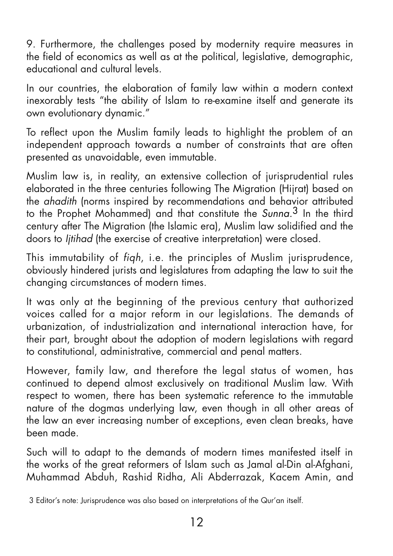9. Furthermore, the challenges posed by modernity require measures in the field of economics as well as at the political, legislative, demographic, educational and cultural levels.

In our countries, the elaboration of family law within a modern context inexorably tests "the ability of Islam to re-examine itself and generate its own evolutionary dynamic."

To reflect upon the Muslim family leads to highlight the problem of an independent approach towards a number of constraints that are often presented as unavoidable, even immutable.

Muslim law is, in reality, an extensive collection of jurisprudential rules elaborated in the three centuries following The Migration (Hijrat) based on the ahadith (norms inspired by recommendations and behavior attributed to the Prophet Mohammed) and that constitute the Sunna.<sup>3</sup> In the third century after The Migration (the Islamic era), Muslim law solidified and the doors to Ijtihad (the exercise of creative interpretation) were closed.

This immutability of fiqh, i.e. the principles of Muslim jurisprudence, obviously hindered jurists and legislatures from adapting the law to suit the changing circumstances of modern times.

It was only at the beginning of the previous century that authorized voices called for a major reform in our legislations. The demands of urbanization, of industrialization and international interaction have, for their part, brought about the adoption of modern legislations with regard to constitutional, administrative, commercial and penal matters.

However, family law, and therefore the legal status of women, has continued to depend almost exclusively on traditional Muslim law. With respect to women, there has been systematic reference to the immutable nature of the dogmas underlying law, even though in all other areas of the law an ever increasing number of exceptions, even clean breaks, have been made.

Such will to adapt to the demands of modern times manifested itself in the works of the great reformers of Islam such as Jamal al-Din al-Afahani, Muhammad Abduh, Rashid Ridha, Ali Abderrazak, Kacem Amin, and

<sup>3</sup> Editor's note: Jurisprudence was also based on interpretations of the Qur'an itself.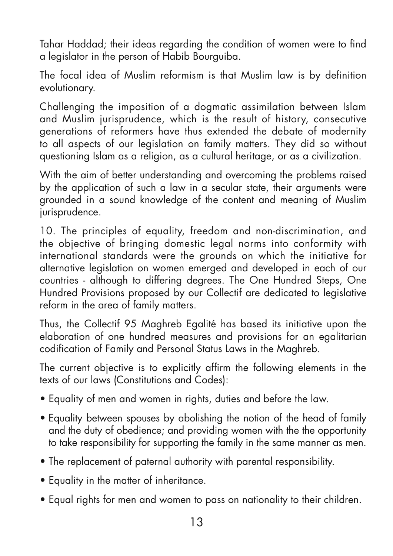Tahar Haddad; their ideas regarding the condition of women were to find a legislator in the person of Habib Bourguiba.

The focal idea of Muslim reformism is that Muslim law is by definition evolutionary.

Challenging the imposition of a dogmatic assimilation between Islam and Muslim jurisprudence, which is the result of history, consecutive generations of reformers have thus extended the debate of modernity to all aspects of our legislation on family matters. They did so without questioning Islam as a religion, as a cultural heritage, or as a civilization.

With the aim of better understanding and overcoming the problems raised by the application of such a law in a secular state, their arguments were grounded in a sound knowledge of the content and meaning of Muslim jurisprudence.

10. The principles of equality, freedom and non-discrimination, and the objective of bringing domestic legal norms into conformity with international standards were the grounds on which the initiative for alternative legislation on women emerged and developed in each of our countries - although to differing degrees. The One Hundred Steps, One Hundred Provisions proposed by our Collectif are dedicated to legislative reform in the area of family matters.

Thus, the Collectif 95 Maghreb Egalité has based its initiative upon the elaboration of one hundred measures and provisions for an egalitarian codification of Family and Personal Status Laws in the Maghreb.

The current objective is to explicitly affirm the following elements in the texts of our laws (Constitutions and Codes):

- Equality of men and women in rights, duties and before the law.
- Equality between spouses by abolishing the notion of the head of family and the duty of obedience; and providing women with the the opportunity to take responsibility for supporting the family in the same manner as men.
- The replacement of paternal authority with parental responsibility.
- Equality in the matter of inheritance.
- Equal rights for men and women to pass on nationality to their children.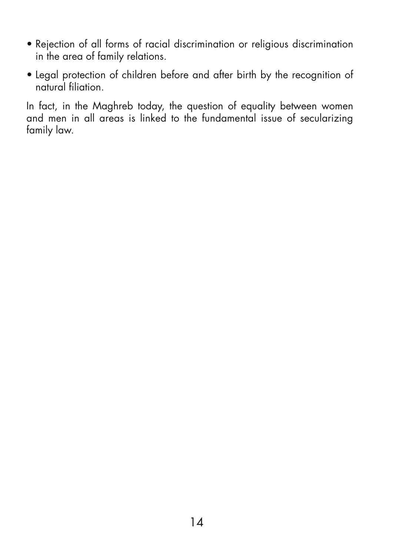- Rejection of all forms of racial discrimination or religious discrimination in the area of family relations.
- Legal protection of children before and after birth by the recognition of natural filiation.

In fact, in the Maghreb today, the question of equality between women and men in all areas is linked to the fundamental issue of secularizing family law.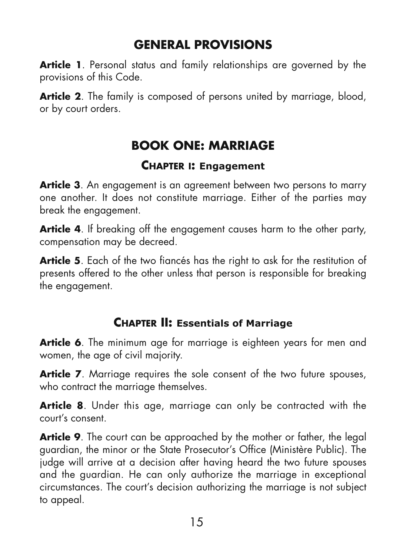## **GENERAL PROVISIONS**

**Article 1**. Personal status and family relationships are governed by the provisions of this Code.

**Article 2.** The family is composed of persons united by marriage, blood, or by court orders.

## **BOOK ONE: MARRIAGE**

#### **CHAPTER I: Engagement**

**Article 3**. An engagement is an agreement between two persons to marry one another. It does not constitute marriage. Either of the parties may break the engagement.

**Article 4.** If breaking off the engagement causes harm to the other party, compensation may be decreed.

**Article 5**. Each of the two fiancés has the right to ask for the restitution of presents offered to the other unless that person is responsible for breaking the engagement.

#### **CHAPTER II: Essentials of Marriage**

**Article 6**. The minimum age for marriage is eighteen years for men and women, the age of civil majority.

Article 7. Marriage requires the sole consent of the two future spouses, who contract the marriage themselves.

**Article 8**. Under this age, marriage can only be contracted with the court's consent.

**Article 9.** The court can be approached by the mother or father, the legal guardian, the minor or the State Prosecutor's Office (Ministère Public). The judge will arrive at a decision after having heard the two future spouses and the guardian. He can only authorize the marriage in exceptional circumstances. The court's decision authorizing the marriage is not subject to appeal.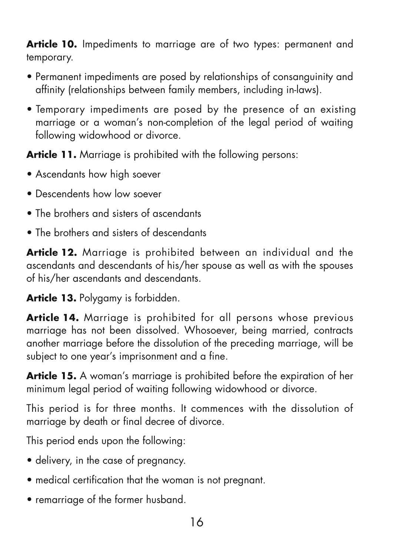**Article 10.** Impediments to marriage are of two types: permanent and temporary.

- Permanent impediments are posed by relationships of consanguinity and affinity (relationships between family members, including in-laws).
- Temporary impediments are posed by the presence of an existing marriage or a woman's non-completion of the legal period of waiting following widowhood or divorce.

**Article 11.** Marriage is prohibited with the following persons:

- Ascendants how high soever
- Descendents how low soever
- The brothers and sisters of ascendants
- The brothers and sisters of descendants

**Article 12.** Marriage is prohibited between an individual and the ascendants and descendants of his/her spouse as well as with the spouses of his/her ascendants and descendants.

**Article 13.** Polygamy is forbidden.

**Article 14.** Marriage is prohibited for all persons whose previous marriage has not been dissolved. Whosoever, being married, contracts another marriage before the dissolution of the preceding marriage, will be subject to one year's imprisonment and a fine.

**Article 15.** A woman's marriage is prohibited before the expiration of her minimum legal period of waiting following widowhood or divorce.

This period is for three months. It commences with the dissolution of marriage by death or final decree of divorce.

This period ends upon the following:

- delivery, in the case of pregnancy.
- medical certification that the woman is not pregnant.
- remarriage of the former husband.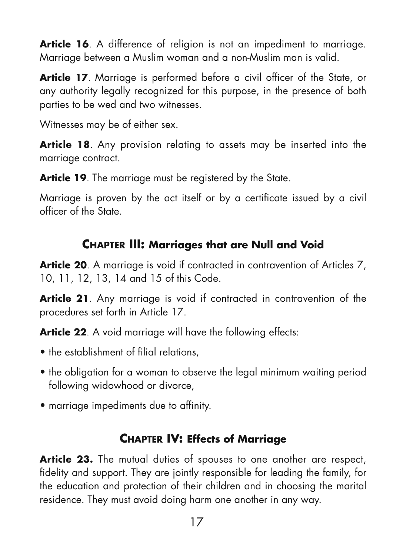Article 16. A difference of religion is not an impediment to marriage. Marriage between a Muslim woman and a non-Muslim man is valid.

**Article 17**. Marriage is performed before a civil officer of the State, or any authority legally recognized for this purpose, in the presence of both parties to be wed and two witnesses.

Witnesses may be of either sex.

**Article 18.** Any provision relating to assets may be inserted into the marriage contract.

Article 19. The marriage must be registered by the State.

Marriage is proven by the act itself or by a certificate issued by a civil officer of the State.

#### **CHAPTER III: Marriages that are Null and Void**

Article 20. A marriage is void if contracted in contravention of Articles 7, 10, 11, 12, 13, 14 and 15 of this Code.

**Article 21**. Any marriage is void if contracted in contravention of the procedures set forth in Article 17.

**Article 22.** A void marriage will have the following effects:

- the establishment of filial relations.
- the obligation for a woman to observe the legal minimum waiting period following widowhood or divorce,
- marriage impediments due to affinity.

### **CHAPTER IV: Effects of Marriage**

**Article 23.** The mutual duties of spouses to one another are respect, fidelity and support. They are jointly responsible for leading the family, for the education and protection of their children and in choosing the marital residence. They must avoid doing harm one another in any way.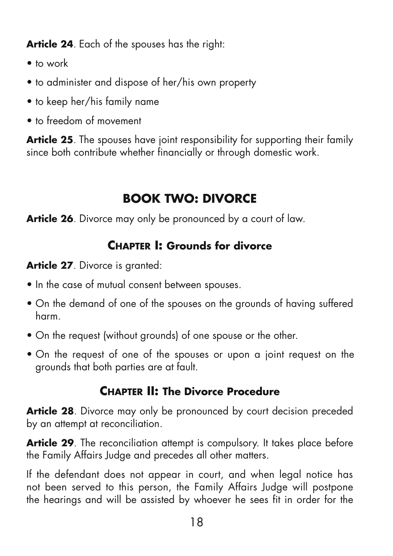**Article 24**. Each of the spouses has the right:

- to work
- to administer and dispose of her/his own property
- to keep her/his family name
- to freedom of movement

**Article 25**. The spouses have joint responsibility for supporting their family since both contribute whether financially or through domestic work.

## **BOOK TWO: DIVORCE**

**Article 26**. Divorce may only be pronounced by a court of law.

## **CHAPTER I: Grounds for divorce**

**Article 27**. Divorce is granted:

- In the case of mutual consent between spouses.
- On the demand of one of the spouses on the grounds of having suffered harm.
- On the request (without grounds) of one spouse or the other.
- On the request of one of the spouses or upon a joint request on the grounds that both parties are at fault.

### **CHAPTER II: The Divorce Procedure**

Article 28. Divorce may only be pronounced by court decision preceded by an attempt at reconciliation.

**Article 29**. The reconciliation attempt is compulsory. It takes place before the Family Affairs Judge and precedes all other matters.

If the defendant does not appear in court, and when legal notice has not been served to this person, the Family Affairs Judge will postpone the hearings and will be assisted by whoever he sees fit in order for the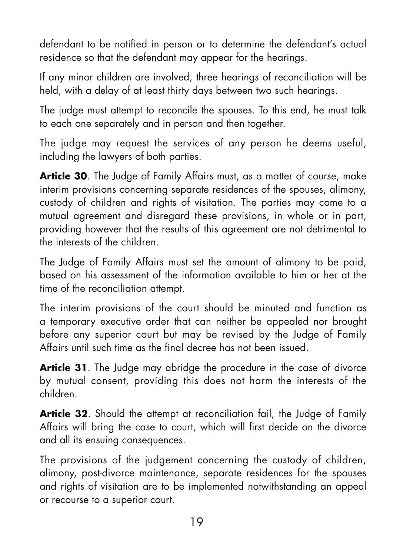defendant to be notified in person or to determine the defendant's actual residence so that the defendant may appear for the hearings.

If any minor children are involved, three hearings of reconciliation will be held, with a delay of at least thirty days between two such hearings.

The judge must attempt to reconcile the spouses. To this end, he must talk to each one separately and in person and then together.

The judge may request the services of any person he deems useful, including the lawyers of both parties.

**Article 30**. The Judge of Family Affairs must, as a matter of course, make interim provisions concerning separate residences of the spouses, alimony, custody of children and rights of visitation. The parties may come to a mutual agreement and disregard these provisions, in whole or in part, providing however that the results of this agreement are not detrimental to the interests of the children.

The Judge of Family Affairs must set the amount of alimony to be paid, based on his assessment of the information available to him or her at the time of the reconciliation attempt.

The interim provisions of the court should be minuted and function as a temporary executive order that can neither be appealed nor brought before any superior court but may be revised by the Judge of Family Affairs until such time as the final decree has not been issued.

**Article 31**. The Judge may abridge the procedure in the case of divorce by mutual consent, providing this does not harm the interests of the children.

**Article 32.** Should the attempt at reconciliation fail, the Judge of Family Affairs will bring the case to court, which will first decide on the divorce and all its ensuing consequences.

The provisions of the judgement concerning the custody of children, alimony, post-divorce maintenance, separate residences for the spouses and rights of visitation are to be implemented notwithstanding an appeal or recourse to a superior court.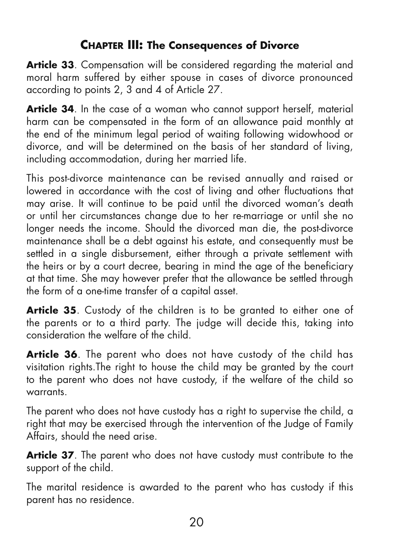## **CHAPTER III: The Consequences of Divorce**

**Article 33**. Compensation will be considered regarding the material and moral harm suffered by either spouse in cases of divorce pronounced according to points 2, 3 and 4 of Article 27.

**Article 34**. In the case of a woman who cannot support herself, material harm can be compensated in the form of an allowance paid monthly at the end of the minimum legal period of waiting following widowhood or divorce, and will be determined on the basis of her standard of living, including accommodation, during her married life.

This post-divorce maintenance can be revised annually and raised or lowered in accordance with the cost of living and other fluctuations that may arise. It will continue to be paid until the divorced woman's death or until her circumstances change due to her re-marriage or until she no longer needs the income. Should the divorced man die, the post-divorce maintenance shall be a debt against his estate, and consequently must be settled in a single disbursement, either through a private settlement with the heirs or by a court decree, bearing in mind the age of the beneficiary at that time. She may however prefer that the allowance be settled through the form of a one-time transfer of a capital asset.

**Article 35**. Custody of the children is to be granted to either one of the parents or to a third party. The judge will decide this, taking into consideration the welfare of the child.

**Article 36**. The parent who does not have custody of the child has visitation rights.The right to house the child may be granted by the court to the parent who does not have custody, if the welfare of the child so warrants.

The parent who does not have custody has a right to supervise the child, a right that may be exercised through the intervention of the Judge of Family Affairs, should the need arise.

**Article 37**. The parent who does not have custody must contribute to the support of the child.

The marital residence is awarded to the parent who has custody if this parent has no residence.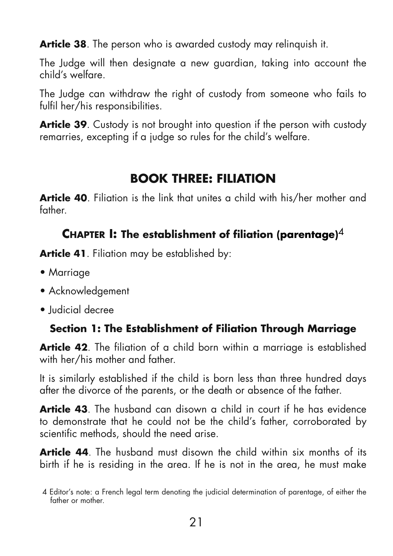**Article 38**. The person who is awarded custody may relinquish it.

The Judge will then designate a new guardian, taking into account the child's welfare.

The Judge can withdraw the right of custody from someone who fails to fulfil her/his responsibilities.

**Article 39**. Custody is not brought into question if the person with custody remarries, excepting if a judge so rules for the child's welfare.

## **BOOK THREE: FILIATION**

**Article 40**. Filiation is the link that unites a child with his/her mother and father.

#### **CHAPTER I: The establishment of filiation (parentage)**4

**Article 41**. Filiation may be established by:

- Marriage
- Acknowledgement
- Judicial decree

### **Section 1: The Establishment of Filiation Through Marriage**

**Article 42**. The filiation of a child born within a marriage is established with her/his mother and father.

It is similarly established if the child is born less than three hundred days after the divorce of the parents, or the death or absence of the father.

**Article 43**. The husband can disown a child in court if he has evidence to demonstrate that he could not be the child's father, corroborated by scientific methods, should the need arise.

**Article 44**. The husband must disown the child within six months of its birth if he is residing in the area. If he is not in the area, he must make

<sup>4</sup> Editor's note: a French legal term denoting the judicial determination of parentage, of either the father or mother.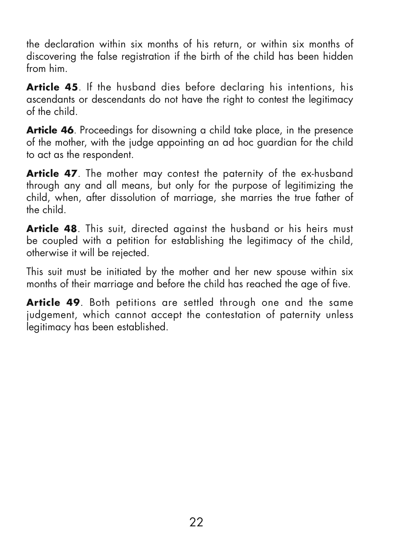the declaration within six months of his return, or within six months of discovering the false registration if the birth of the child has been hidden from him.

**Article 45**. If the husband dies before declaring his intentions, his ascendants or descendants do not have the right to contest the legitimacy of the child.

**Article 46**. Proceedings for disowning a child take place, in the presence of the mother, with the judge appointing an ad hoc guardian for the child to act as the respondent.

**Article 47**. The mother may contest the paternity of the ex-husband through any and all means, but only for the purpose of legitimizing the child, when, after dissolution of marriage, she marries the true father of the child.

**Article 48**. This suit, directed against the husband or his heirs must be coupled with a petition for establishing the legitimacy of the child, otherwise it will be rejected.

This suit must be initiated by the mother and her new spouse within six months of their marriage and before the child has reached the age of five.

**Article 49**. Both petitions are settled through one and the same judgement, which cannot accept the contestation of paternity unless legitimacy has been established.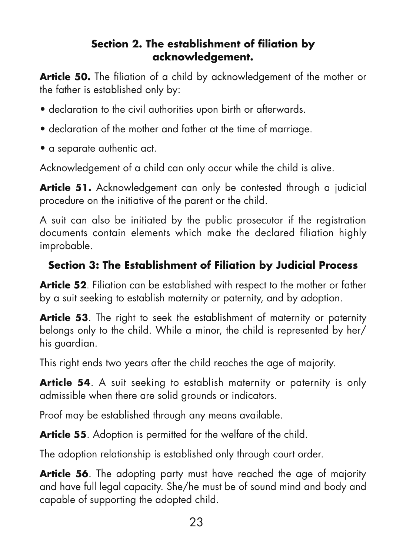#### **Section 2. The establishment of filiation by acknowledgement.**

**Article 50.** The filiation of a child by acknowledgement of the mother or the father is established only by:

- declaration to the civil authorities upon birth or afterwards.
- declaration of the mother and father at the time of marriage.
- a separate authentic act.

Acknowledgement of a child can only occur while the child is alive.

**Article 51.** Acknowledgement can only be contested through a judicial procedure on the initiative of the parent or the child.

A suit can also be initiated by the public prosecutor if the registration documents contain elements which make the declared filiation highly improbable.

#### **Section 3: The Establishment of Filiation by Judicial Process**

**Article 52**. Filiation can be established with respect to the mother or father by a suit seeking to establish maternity or paternity, and by adoption.

**Article 53**. The right to seek the establishment of maternity or paternity belongs only to the child. While a minor, the child is represented by her/ his guardian.

This right ends two years after the child reaches the age of majority.

**Article 54.** A suit seeking to establish maternity or paternity is only admissible when there are solid grounds or indicators.

Proof may be established through any means available.

**Article 55**. Adoption is permitted for the welfare of the child.

The adoption relationship is established only through court order.

**Article 56**. The adopting party must have reached the age of majority and have full legal capacity. She/he must be of sound mind and body and capable of supporting the adopted child.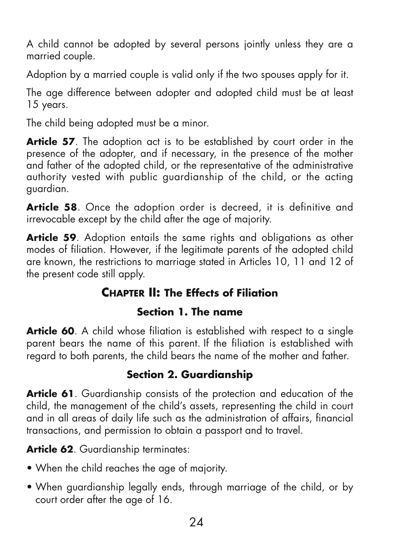A child cannot be adopted by several persons jointly unless they are a married couple.

Adoption by a married couple is valid only if the two spouses apply for it.

The age difference between adopter and adopted child must be at least 15 years.

The child being adopted must be a minor.

**Article 57**. The adoption act is to be established by court order in the presence of the adopter, and if necessary, in the presence of the mother and father of the adopted child, or the representative of the administrative authority vested with public guardianship of the child, or the acting guardian.

**Article 58**. Once the adoption order is decreed, it is definitive and irrevocable except by the child after the age of majority.

**Article 59**. Adoption entails the same rights and obligations as other modes of filiation. However, if the legitimate parents of the adopted child are known, the restrictions to marriage stated in Articles 10, 11 and 12 of the present code still apply.

## **CHAPTER II: The Effects of Filiation**

#### **Section 1. The name**

**Article 60.** A child whose filiation is established with respect to a single parent bears the name of this parent. If the filiation is established with regard to both parents, the child bears the name of the mother and father.

### **Section 2. Guardianship**

**Article 61**. Guardianship consists of the protection and education of the child, the management of the child's assets, representing the child in court and in all areas of daily life such as the administration of affairs, financial transactions, and permission to obtain a passport and to travel.

**Article 62.** Guardianship terminates:

- When the child reaches the age of majority.
- When guardianship legally ends, through marriage of the child, or by court order after the age of 16.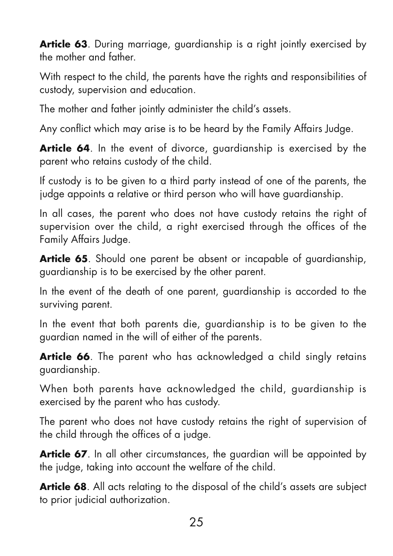**Article 63**. During marriage, guardianship is a right jointly exercised by the mother and father.

With respect to the child, the parents have the rights and responsibilities of custody, supervision and education.

The mother and father jointly administer the child's assets.

Any conflict which may arise is to be heard by the Family Affairs Judge.

**Article 64**. In the event of divorce, guardianship is exercised by the parent who retains custody of the child.

If custody is to be given to a third party instead of one of the parents, the judge appoints a relative or third person who will have guardianship.

In all cases, the parent who does not have custody retains the right of supervision over the child, a right exercised through the offices of the Family Affairs Judge.

**Article 65**. Should one parent be absent or incapable of guardianship, guardianship is to be exercised by the other parent.

In the event of the death of one parent, guardianship is accorded to the surviving parent.

In the event that both parents die, guardianship is to be given to the guardian named in the will of either of the parents.

**Article 66**. The parent who has acknowledged a child singly retains guardianship.

When both parents have acknowledged the child, guardianship is exercised by the parent who has custody.

The parent who does not have custody retains the right of supervision of the child through the offices of a judge.

**Article 67**. In all other circumstances, the guardian will be appointed by the judge, taking into account the welfare of the child.

**Article 68.** All acts relating to the disposal of the child's assets are subject to prior judicial authorization.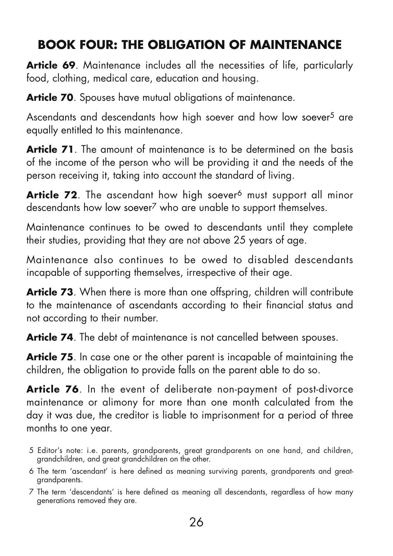## **BOOK FOUR: THE OBLIGATION OF MAINTENANCE**

Article 69. Maintenance includes all the necessities of life, particularly food, clothing, medical care, education and housing.

**Article 70.** Spouses have mutual obligations of maintenance.

Ascendants and descendants how high soever and how low soever<sup>5</sup> are equally entitled to this maintenance.

**Article 71.** The amount of maintenance is to be determined on the basis of the income of the person who will be providing it and the needs of the person receiving it, taking into account the standard of living.

**Article 72.** The ascendant how high soever<sup>6</sup> must support all minor descendants how low soever<sup>7</sup> who are unable to support themselves.

Maintenance continues to be owed to descendants until they complete their studies, providing that they are not above 25 years of age.

Maintenance also continues to be owed to disabled descendants incapable of supporting themselves, irrespective of their age.

**Article 73**. When there is more than one offspring, children will contribute to the maintenance of ascendants according to their financial status and not according to their number.

**Article 74.** The debt of maintenance is not cancelled between spouses.

**Article 75**. In case one or the other parent is incapable of maintaining the children, the obligation to provide falls on the parent able to do so.

**Article 76**. In the event of deliberate non-payment of post-divorce maintenance or alimony for more than one month calculated from the day it was due, the creditor is liable to imprisonment for a period of three months to one year.

- 5 Editor's note: i.e. parents, grandparents, great grandparents on one hand, and children, grandchildren, and great grandchildren on the other.
- 6 The term 'ascendant' is here defined as meaning surviving parents, grandparents and greatgrandparents.
- 7 The term 'descendants' is here defined as meaning all descendants, regardless of how many generations removed they are.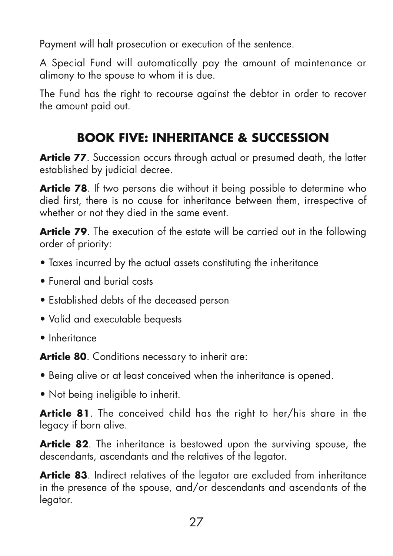Payment will halt prosecution or execution of the sentence.

A Special Fund will automatically pay the amount of maintenance or alimony to the spouse to whom it is due.

The Fund has the right to recourse against the debtor in order to recover the amount paid out.

## **BOOK FIVE: INHERITANCE & SUCCESSION**

**Article 77**. Succession occurs through actual or presumed death, the latter established by judicial decree.

**Article 78.** If two persons die without it being possible to determine who died first, there is no cause for inheritance between them, irrespective of whether or not they died in the same event.

**Article 79**. The execution of the estate will be carried out in the following order of priority:

- Taxes incurred by the actual assets constituting the inheritance
- Funeral and burial costs
- Established debts of the deceased person
- Valid and executable bequests
- Inheritance

**Article 80**. Conditions necessary to inherit are:

- Being alive or at least conceived when the inheritance is opened.
- Not being ineligible to inherit.

**Article 81**. The conceived child has the right to her/his share in the legacy if born alive.

**Article 82.** The inheritance is bestowed upon the surviving spouse, the descendants, ascendants and the relatives of the legator.

**Article 83**. Indirect relatives of the legator are excluded from inheritance in the presence of the spouse, and/or descendants and ascendants of the legator.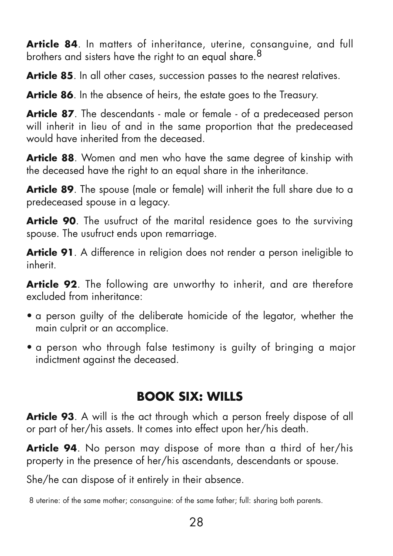Article 84. In matters of inheritance, uterine, consanguine, and full brothers and sisters have the right to an equal share.<sup>8</sup>

Article 85. In all other cases, succession passes to the nearest relatives.

**Article 86.** In the absence of heirs, the estate goes to the Treasury.

**Article 87**. The descendants - male or female - of a predeceased person will inherit in lieu of and in the same proportion that the predeceased would have inherited from the deceased.

**Article 88**. Women and men who have the same degree of kinship with the deceased have the right to an equal share in the inheritance.

**Article 89**. The spouse (male or female) will inherit the full share due to a predeceased spouse in a legacy.

**Article 90**. The usufruct of the marital residence goes to the surviving spouse. The usufruct ends upon remarriage.

**Article 91**. A difference in religion does not render a person ineligible to inherit.

**Article 92**. The following are unworthy to inherit, and are therefore excluded from inheritance:

- a person guilty of the deliberate homicide of the legator, whether the main culprit or an accomplice.
- a person who through false testimony is guilty of bringing a major indictment against the deceased.

## **BOOK SIX: WILLS**

**Article 93**. A will is the act through which a person freely dispose of all or part of her/his assets. It comes into effect upon her/his death.

**Article 94**. No person may dispose of more than a third of her/his property in the presence of her/his ascendants, descendants or spouse.

She/he can dispose of it entirely in their absence.

8 uterine: of the same mother; consanguine: of the same father; full: sharing both parents.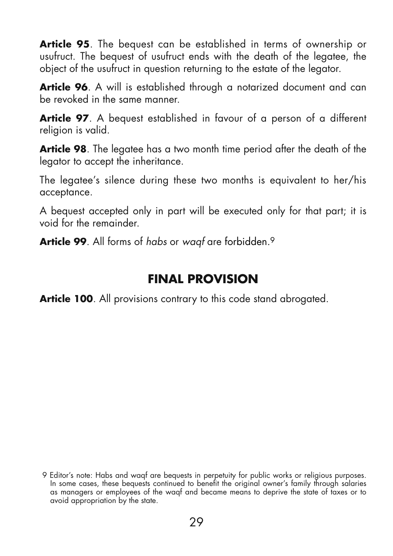**Article 95**. The bequest can be established in terms of ownership or usufruct. The bequest of usufruct ends with the death of the legatee, the object of the usufruct in question returning to the estate of the legator.

**Article 96.** A will is established through a notarized document and can be revoked in the same manner.

**Article 97**. A bequest established in favour of a person of a different religion is valid.

**Article 98**. The legatee has a two month time period after the death of the legator to accept the inheritance.

The legatee's silence during these two months is equivalent to her/his acceptance.

A bequest accepted only in part will be executed only for that part; it is void for the remainder.

**Article 99.** All forms of habs or waaf are forbidden.<sup>9</sup>

## **FINAL PROVISION**

**Article 100.** All provisions contrary to this code stand abrogated.

<sup>9</sup> Editor's note: Habs and waqf are bequests in perpetuity for public works or religious purposes. In some cases, these bequests continued to benefit the original owner's family through salaries as managers or employees of the waqf and became means to deprive the state of taxes or to avoid appropriation by the state.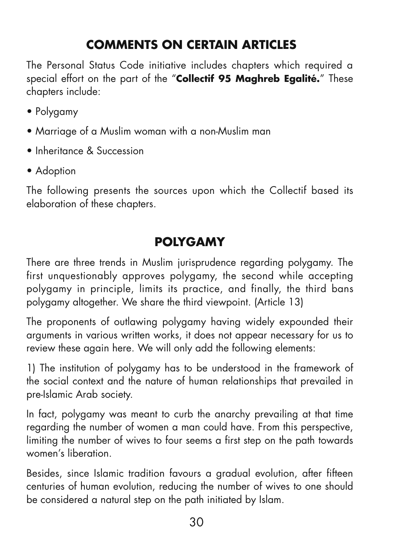## **COMMENTS ON CERTAIN ARTICLES**

The Personal Status Code initiative includes chapters which required a special effort on the part of the "**Collectif 95 Maghreb Egalité.**" These chapters include:

- Polygamy
- Marriage of a Muslim woman with a non-Muslim man
- Inheritance & Succession
- Adoption

The following presents the sources upon which the Collectif based its elaboration of these chapters.

## **POLYGAMY**

There are three trends in Muslim jurisprudence regarding polygamy. The first unquestionably approves polygamy, the second while accepting polygamy in principle, limits its practice, and finally, the third bans polygamy altogether. We share the third viewpoint. (Article 13)

The proponents of outlawing polygamy having widely expounded their arguments in various written works, it does not appear necessary for us to review these again here. We will only add the following elements:

1) The institution of polygamy has to be understood in the framework of the social context and the nature of human relationships that prevailed in pre-Islamic Arab society.

In fact, polygamy was meant to curb the anarchy prevailing at that time regarding the number of women a man could have. From this perspective, limiting the number of wives to four seems a first step on the path towards women's liberation.

Besides, since Islamic tradition favours a gradual evolution, after fifteen centuries of human evolution, reducing the number of wives to one should be considered a natural step on the path initiated by Islam.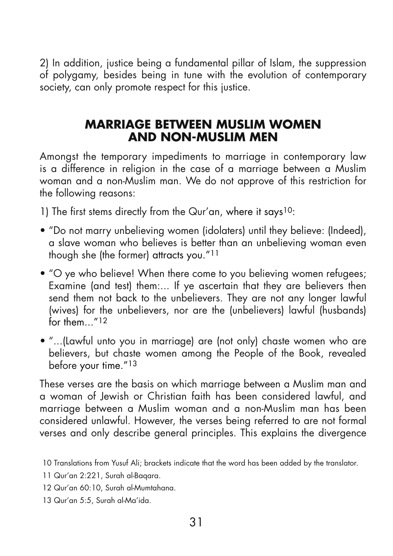2) In addition, justice being a fundamental pillar of Islam, the suppression of polygamy, besides being in tune with the evolution of contemporary society, can only promote respect for this justice.

#### **MARRIAGE BETWEEN MUSLIM WOMEN AND NON-MUSLIM MEN**

Amongst the temporary impediments to marriage in contemporary law is a difference in religion in the case of a marriage between a Muslim woman and a non-Muslim man. We do not approve of this restriction for the following reasons:

1) The first stems directly from the Qur'an, where it says10:

- "Do not marry unbelieving women (idolaters) until they believe: (Indeed), a slave woman who believes is better than an unbelieving woman even though she (the former) attracts you."11
- "O ye who believe! When there come to you believing women refugees; Examine (and test) them:... If ye ascertain that they are believers then send them not back to the unbelievers. They are not any longer lawful (wives) for the unbelievers, nor are the (unbelievers) lawful (husbands) for them  $''12$
- "...(Lawful unto you in marriage) are (not only) chaste women who are believers, but chaste women among the People of the Book, revealed before your time."13

These verses are the basis on which marriage between a Muslim man and a woman of Jewish or Christian faith has been considered lawful, and marriage between a Muslim woman and a non-Muslim man has been considered unlawful. However, the verses being referred to are not formal verses and only describe general principles. This explains the divergence

<sup>10</sup> Translations from Yusuf Ali; brackets indicate that the word has been added by the translator.

<sup>11</sup> Qur'an 2:221, Surah al-Baqara.

<sup>12</sup> Qur'an 60:10, Surah al-Mumtahana.

<sup>13</sup> Qur'an 5:5, Surah al-Ma'ida.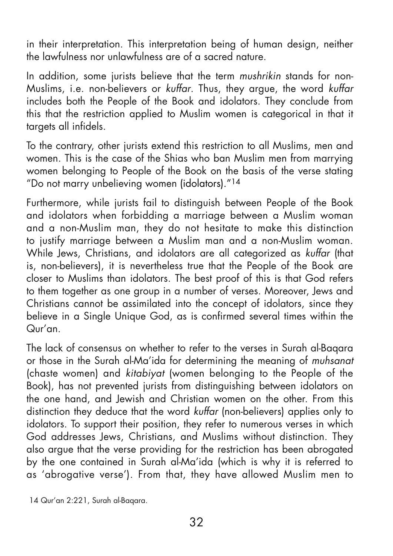in their interpretation. This interpretation being of human design, neither the lawfulness nor unlawfulness are of a sacred nature.

In addition, some jurists believe that the term mushrikin stands for non-Muslims, i.e. non-believers or kuffar. Thus, they argue, the word kuffar includes both the People of the Book and idolators. They conclude from this that the restriction applied to Muslim women is categorical in that it targets all infidels.

To the contrary, other jurists extend this restriction to all Muslims, men and women. This is the case of the Shias who ban Muslim men from marrying women belonging to People of the Book on the basis of the verse stating "Do not marry unbelieving women (idolators)."14

Furthermore, while jurists fail to distinguish between People of the Book and idolators when forbidding a marriage between a Muslim woman and a non-Muslim man, they do not hesitate to make this distinction to justify marriage between a Muslim man and a non-Muslim woman. While Jews, Christians, and idolators are all categorized as kuffar (that is, non-believers), it is nevertheless true that the People of the Book are closer to Muslims than idolators. The best proof of this is that God refers to them together as one group in a number of verses. Moreover, Jews and Christians cannot be assimilated into the concept of idolators, since they believe in a Single Unique God, as is confirmed several times within the  $Q<sub>ur</sub>'an$ 

The lack of consensus on whether to refer to the verses in Surah al-Baqara or those in the Surah al-Ma'ida for determining the meaning of muhsanat (chaste women) and kitabiyat (women belonging to the People of the Book), has not prevented jurists from distinguishing between idolators on the one hand, and Jewish and Christian women on the other. From this distinction they deduce that the word kuffar (non-believers) applies only to idolators. To support their position, they refer to numerous verses in which God addresses Jews, Christians, and Muslims without distinction. They also argue that the verse providing for the restriction has been abrogated by the one contained in Surah al-Ma'ida (which is why it is referred to as 'abrogative verse'). From that, they have allowed Muslim men to

<sup>14</sup> Qur'an 2:221, Surah al-Baqara.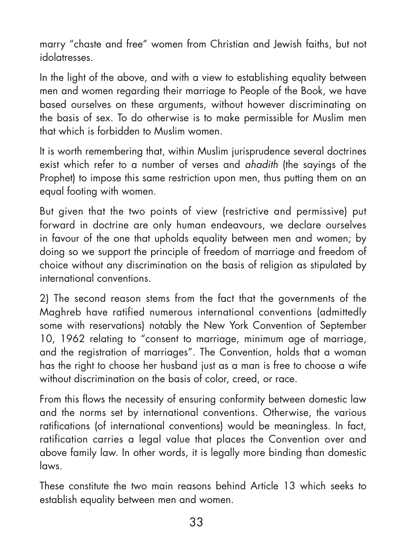marry "chaste and free" women from Christian and Jewish faiths, but not idolatresses.

In the light of the above, and with a view to establishing equality between men and women regarding their marriage to People of the Book, we have based ourselves on these arguments, without however discriminating on the basis of sex. To do otherwise is to make permissible for Muslim men that which is forbidden to Muslim women.

It is worth remembering that, within Muslim jurisprudence several doctrines exist which refer to a number of verses and ahadith (the sayings of the Prophet) to impose this same restriction upon men, thus putting them on an equal footing with women.

But given that the two points of view (restrictive and permissive) put forward in doctrine are only human endeavours, we declare ourselves in favour of the one that upholds equality between men and women; by doing so we support the principle of freedom of marriage and freedom of choice without any discrimination on the basis of religion as stipulated by international conventions.

2) The second reason stems from the fact that the governments of the Maghreb have ratified numerous international conventions (admittedly some with reservations) notably the New York Convention of September 10, 1962 relating to "consent to marriage, minimum age of marriage, and the registration of marriages". The Convention, holds that a woman has the right to choose her husband just as a man is free to choose a wife without discrimination on the basis of color, creed, or race.

From this flows the necessity of ensuring conformity between domestic law and the norms set by international conventions. Otherwise, the various ratifications (of international conventions) would be meaningless. In fact, ratification carries a legal value that places the Convention over and above family law. In other words, it is legally more binding than domestic laws.

These constitute the two main reasons behind Article 13 which seeks to establish equality between men and women.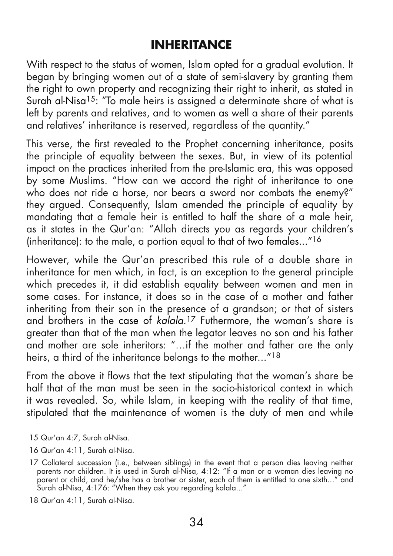## **INHERITANCE**

With respect to the status of women, Islam opted for a gradual evolution. It began by bringing women out of a state of semi-slavery by granting them the right to own property and recognizing their right to inherit, as stated in Surah al-Nisa<sup>15</sup>: "To male heirs is assigned a determinate share of what is left by parents and relatives, and to women as well a share of their parents and relatives' inheritance is reserved, regardless of the quantity."

This verse, the first revealed to the Prophet concerning inheritance, posits the principle of equality between the sexes. But, in view of its potential impact on the practices inherited from the pre-Islamic era, this was opposed by some Muslims. "How can we accord the right of inheritance to one who does not ride a horse, nor bears a sword nor combats the enemy?" they argued. Consequently, Islam amended the principle of equality by mandating that a female heir is entitled to half the share of a male heir, as it states in the Qur'an: "Allah directs you as regards your children's (inheritance): to the male, a portion equal to that of two females..." $16$ 

However, while the Qur'an prescribed this rule of a double share in inheritance for men which, in fact, is an exception to the general principle which precedes it, it did establish equality between women and men in some cases. For instance, it does so in the case of a mother and father inheriting from their son in the presence of a grandson; or that of sisters and brothers in the case of kalala.<sup>17</sup> Futhermore, the woman's share is greater than that of the man when the legator leaves no son and his father and mother are sole inheritors: "…if the mother and father are the only heirs, a third of the inheritance belongs to the mother..."18

From the above it flows that the text stipulating that the woman's share be half that of the man must be seen in the socio-historical context in which it was revealed. So, while Islam, in keeping with the reality of that time, stipulated that the maintenance of women is the duty of men and while

- 15 Qur'an 4:7, Surah al-Nisa.
- 16 Qur'an 4:11, Surah al-Nisa.

18 Qur'an 4:11, Surah al-Nisa.

<sup>17</sup> Collateral succession (i.e., between siblings) in the event that a person dies leaving neither parents nor children. It is used in Surah al-Nisa, 4:12: "If a man or a woman dies leaving no parent or child, and he/she has a brother or sister, each of them is entitled to one sixth..." and Surah al-Nisa, 4:176: "When they ask you regarding kalala..."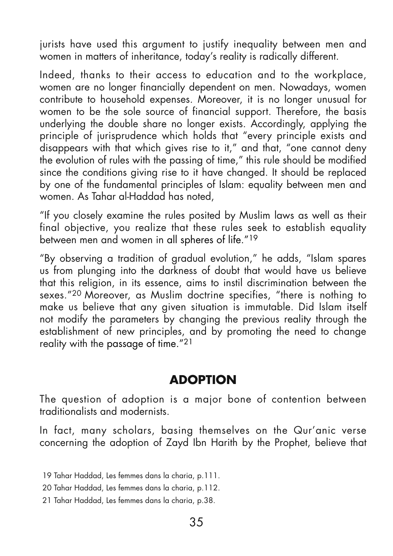jurists have used this argument to justify inequality between men and women in matters of inheritance, today's reality is radically different.

Indeed, thanks to their access to education and to the workplace, women are no longer financially dependent on men. Nowadays, women contribute to household expenses. Moreover, it is no longer unusual for women to be the sole source of financial support. Therefore, the basis underlying the double share no longer exists. Accordingly, applying the principle of jurisprudence which holds that "every principle exists and disappears with that which gives rise to it," and that, "one cannot deny the evolution of rules with the passing of time," this rule should be modified since the conditions giving rise to it have changed. It should be replaced by one of the fundamental principles of Islam: equality between men and women. As Tahar al-Haddad has noted,

"If you closely examine the rules posited by Muslim laws as well as their final objective, you realize that these rules seek to establish equality between men and women in all spheres of life."<sup>19</sup>

"By observing a tradition of gradual evolution," he adds, "Islam spares us from plunging into the darkness of doubt that would have us believe that this religion, in its essence, aims to instil discrimination between the sexes."20 Moreover, as Muslim doctrine specifies, "there is nothing to make us believe that any given situation is immutable. Did Islam itself not modify the parameters by changing the previous reality through the establishment of new principles, and by promoting the need to change reality with the passage of time."21

### **ADOPTION**

The question of adoption is a major bone of contention between traditionalists and modernists.

In fact, many scholars, basing themselves on the Qur'anic verse concerning the adoption of Zayd Ibn Harith by the Prophet, believe that

19 Tahar Haddad, Les femmes dans la charia, p.111.

20 Tahar Haddad, Les femmes dans la charia, p.112.

21 Tahar Haddad, Les femmes dans la charia, p.38.